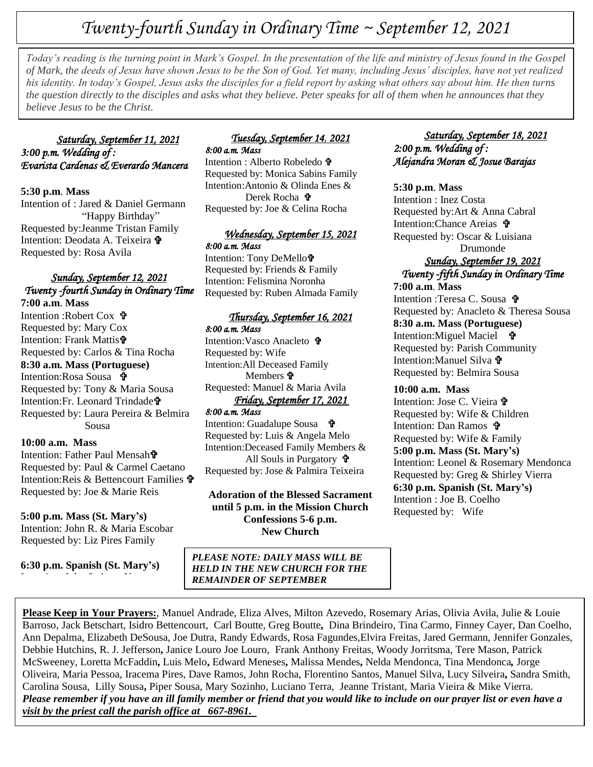# *Twenty-fourth Sunday in Ordinary Time ~ September 12, 2021*

 *of Mark, the deeds of Jesus have shown Jesus to be the Son of God. Yet many, including Jesus' disciples, have not yet realized Today's reading is the turning point in Mark's Gospel. In the presentation of the life and ministry of Jesus found in the Gospel his identity. In today's Gospel, Jesus asks the disciples for a field report by asking what others say about him. He then turns the question directly to the disciples and asks what they believe. Peter speaks for all of them when he announces that they believe Jesus to be the Christ.*

## *Saturday, September 11, 2021 3:00 p.m. Wedding of : Evarista Cardenas & Everardo Mancera*

**5:30 p.m**. **Mass**

Intention of : Jared & Daniel Germann "Happy Birthday" Requested by:Jeanme Tristan Family Intention: Deodata A. Teixeira  $\mathbf{\hat{v}}$ Requested by: Rosa Avila

## *Sunday, September 12, 2021 Twenty -fourth Sunday in Ordinary Time*

**7:00 a.m**. **Mass** Intention :Robert Cox Requested by: Mary Cox Intention: Frank Mattis Requested by: Carlos & Tina Rocha **8:30 a.m. Mass (Portuguese)** Intention:Rosa Sousa 予 Requested by: Tony & Maria Sousa Intention:Fr. Leonard Trindade Requested by: Laura Pereira & Belmira Sousa

**10:00 a.m. Mass**

Intention: Father Paul Mensah<sup>t</sup> Requested by: Paul & Carmel Caetano Intention:Reis & Bettencourt Families Requested by: Joe & Marie Reis

**5:00 p.m. Mass (St. Mary's)**

Intention: John R. & Maria Escobar Requested by: Liz Pires Family

**6:30 p.m. Spanish (St. Mary's)** Intention :John & Anna Nunes

## *Tuesday, September 14, 2021 8:00 a.m. Mass*

Intention : Alberto Robeledo Requested by: Monica Sabins Family Intention:Antonio & Olinda Enes & Derek Rocha <sup>+</sup> Requested by: Joe & Celina Rocha

## *Wednesday, September 15, 2021 8:00 a.m. Mass*

Intention: Tony DeMello<sup>†</sup> Requested by: Friends & Family Intention: Felismina Noronha Requested by: Ruben Almada Family

# *Thursday, September 16, 2021*

*8:00 a.m. Mass*  Intention:Vasco Anacleto Requested by: Wife Intention:All Deceased Family Members **D** Requested: Manuel & Maria Avila *Friday, September 17, 2021* 

#### *8:00 a.m. Mass*

Intention: Guadalupe Sousa • Requested by: Luis & Angela Melo Intention:Deceased Family Members & All Souls in Purgatory Requested by: Jose & Palmira Teixeira

**Adoration of the Blessed Sacrament until 5 p.m. in the Mission Church Confessions 5-6 p.m. New Church**

## *Saturday, September 18, 2021 2:00 p.m. Wedding of : Alejandra Moran & Josue Barajas*

## **5:30 p.m**. **Mass**

Intention : Inez Costa Requested by:Art & Anna Cabral Intention:Chance Areias **令** Requested by: Oscar & Luisiana Drumonde *Sunday, September 19, 2021 Twenty -fifth Sunday in Ordinary Time*  **7:00 a.m**. **Mass** Intention :Teresa C. Sousa Requested by: Anacleto & Theresa Sousa **8:30 a.m. Mass (Portuguese)** Intention:Miguel Maciel **t** Requested by: Parish Community Intention: Manuel Silva  $\mathbf{\hat{r}}$ Requested by: Belmira Sousa

## **10:00 a.m. Mass**

Intention: Jose C. Vieira Requested by: Wife & Children Intention: Dan Ramos Requested by: Wife & Family **5:00 p.m. Mass (St. Mary's)** Intention: Leonel & Rosemary Mendonca Requested by: Greg & Shirley Vierra **6:30 p.m. Spanish (St. Mary's)** Intention : Joe B. Coelho Requested by: Wife

 *PLEASE NOTE: DAILY MASS WILL BE HELD IN THE NEW CHURCH FOR THE REMAINDER OF SEPTEMBER*

**Please Keep in Your Prayers:**, Manuel Andrade, Eliza Alves, Milton Azevedo, Rosemary Arias, Olivia Avila, Julie & Louie Barroso, Jack Betschart, Isidro Bettencourt, Carl Boutte, Greg Boutte**,** Dina Brindeiro, Tina Carmo, Finney Cayer, Dan Coelho, Ann Depalma, Elizabeth DeSousa, Joe Dutra, Randy Edwards, Rosa Fagundes,Elvira Freitas, Jared Germann, Jennifer Gonzales, Debbie Hutchins, R. J. Jefferson**,** Janice Louro Joe Louro, Frank Anthony Freitas, Woody Jorritsma, Tere Mason, Patrick McSweeney, Loretta McFaddin**,** Luis Melo**,** Edward Meneses**,** Malissa Mendes**,** Nelda Mendonca, Tina Mendonca*,* Jorge Oliveira, Maria Pessoa, Iracema Pires, Dave Ramos, John Rocha, Florentino Santos, Manuel Silva, Lucy Silveira**,** Sandra Smith, Carolina Sousa, Lilly Sousa**,** Piper Sousa, Mary Sozinho, Luciano Terra, Jeanne Tristant, Maria Vieira & Mike Vierra. *Please remember if you have an ill family member or friend that you would like to include on our prayer list or even have a visit by the priest call the parish office at 667-8961.*